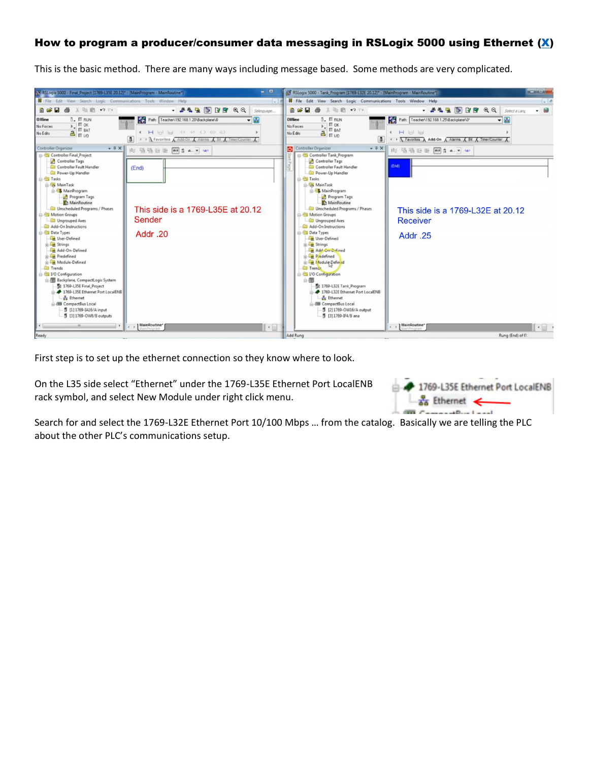# How to program a producer/consumer data messaging in RSLogix 5000 using Ethernet [\(X\)](https://www.youtube.com/watch?v=aBd7ZtVTFKo&list=PLnpv-GAqdcheSDtad0w88pLLCMVjRSVyA&index=8&t=12s)

This is the basic method. There are many ways including message based. Some methods are very complicated.



First step is to set up the ethernet connection so they know where to look.

On the L35 side select "Ethernet" under the 1769-L35E Ethernet Port LocalENB rack symbol, and select New Module under right click menu.

| 1769-L35E Ethernet Port LocalENB |
|----------------------------------|
| $-\frac{1}{46}$ Ethernet         |
| $\mathbf{m} \in \mathbb{R}$      |

Search for and select the 1769-L32E Ethernet Port 10/100 Mbps … from the catalog. Basically we are telling the PLC about the other PLC's communications setup.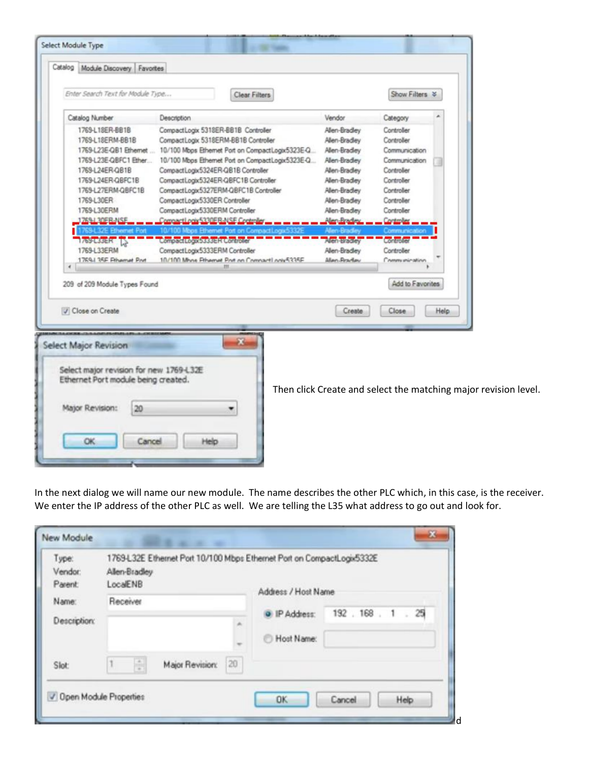| Catalog Module Discovery Favortes               |                                                                                                     |                               |                                |                                                                 |
|-------------------------------------------------|-----------------------------------------------------------------------------------------------------|-------------------------------|--------------------------------|-----------------------------------------------------------------|
| Enter Search Text for Module Type               | Clear Filters                                                                                       |                               | Show Filters >                 |                                                                 |
| Catalog Number                                  | Description                                                                                         | Vendor                        | Category                       |                                                                 |
| 1769-L18ER-BB1B<br>1769-L18ERM-BB1B             | CompactLogix 5318ER-BB1B Controller<br>CompactLogix 5318ERM-BB1B Controller                         | Alen-Bradley<br>Allen-Bradley | Controller<br>Controller       |                                                                 |
| 1769-L23E-QB1 Ethernet<br>1769-L23E-QBFC1 Ether | 10/100 Mbps Ethemet Port on CompactLogix5323E-Q<br>10/100 Mbps Ethernet Port on CompactLogix5323E-Q | Alen-Bradley<br>Allen-Bradley | Communication<br>Communication |                                                                 |
| 1769-L24ER-QB1B                                 | CompactLogix5324ER-QB1B Controller                                                                  | Allen-Bradley                 | Controller                     |                                                                 |
| 1769-L24ER-QBFC1B                               | CompactLogix5324ER-QBFC1B Controller                                                                | Alen-Bradley                  | Controller                     |                                                                 |
| 1769-L27ERM-QBFC1B                              | CompactLogix5327ERM-QBFC1B Controller                                                               | Allen-Bradley                 | Controller                     |                                                                 |
| 1769-L30ER                                      | CompactLogix5330ER Controller                                                                       | Allen-Bradley                 | Controller                     |                                                                 |
| 1769-L30ERM                                     | CompactLogix5330ERM Controller                                                                      | Allen-Bradley                 | Controller                     |                                                                 |
| 769-1.30EB-NSE                                  | connactLogic5330ER-NSE Control                                                                      | Mandrado                      | Controller                     |                                                                 |
|                                                 |                                                                                                     | <b>Minn-Firactic</b>          | <b>Lommunicatio</b>            |                                                                 |
| 769-L33ER                                       | <b>compact tooxbsssels controles</b>                                                                | Alen-Bracley                  | Controller                     |                                                                 |
| 1769-L33ERM                                     | CompactLogix5333ERM Controller                                                                      | Allen-Bradley                 | Controller                     |                                                                 |
| 1769-1 35F Filhamat Prut<br>٠                   | 10/100 Mhns Fthemet Pnt on CompactLook5335F                                                         | Allen-Practiev                | Communication                  |                                                                 |
|                                                 |                                                                                                     |                               |                                |                                                                 |
| 209 of 209 Module Types Found                   |                                                                                                     |                               | Add to Favorites               |                                                                 |
| Close on Create                                 |                                                                                                     | Create                        | Close                          | Help                                                            |
|                                                 |                                                                                                     |                               |                                |                                                                 |
| <b>Select Major Revision</b>                    | ×                                                                                                   |                               |                                |                                                                 |
|                                                 |                                                                                                     |                               |                                |                                                                 |
|                                                 |                                                                                                     |                               |                                |                                                                 |
| Select major revision for new 1769-L32E         |                                                                                                     |                               |                                |                                                                 |
| Ethernet Port module being created.             |                                                                                                     |                               |                                |                                                                 |
|                                                 |                                                                                                     |                               |                                |                                                                 |
|                                                 |                                                                                                     |                               |                                |                                                                 |
| Major Revision:<br>20                           |                                                                                                     |                               |                                |                                                                 |
|                                                 |                                                                                                     |                               |                                |                                                                 |
|                                                 |                                                                                                     |                               |                                | Then click Create and select the matching major revision level. |
| <b>OK</b><br>Cancel                             | Help                                                                                                |                               |                                |                                                                 |

In the next dialog we will name our new module. The name describes the other PLC which, in this case, is the receiver. We enter the IP address of the other PLC as well. We are telling the L35 what address to go out and look for.

| Type:<br>Vendor:<br>Parent:<br>Name:<br>Description: | 1769-L32E Ethernet Port 10/100 Mbps Ethernet Port on CompactLogis5332E<br>Allen-Bradley<br>LocalENB | Address / Host Name         |                    |
|------------------------------------------------------|-----------------------------------------------------------------------------------------------------|-----------------------------|--------------------|
|                                                      | Receiver<br>$\alpha$                                                                                | D IP Address:<br>Host Name: | 192 . 168 . 1 . 25 |
| Slot                                                 | ÷.<br>20 <sub>2</sub><br>Major Revision:                                                            |                             |                    |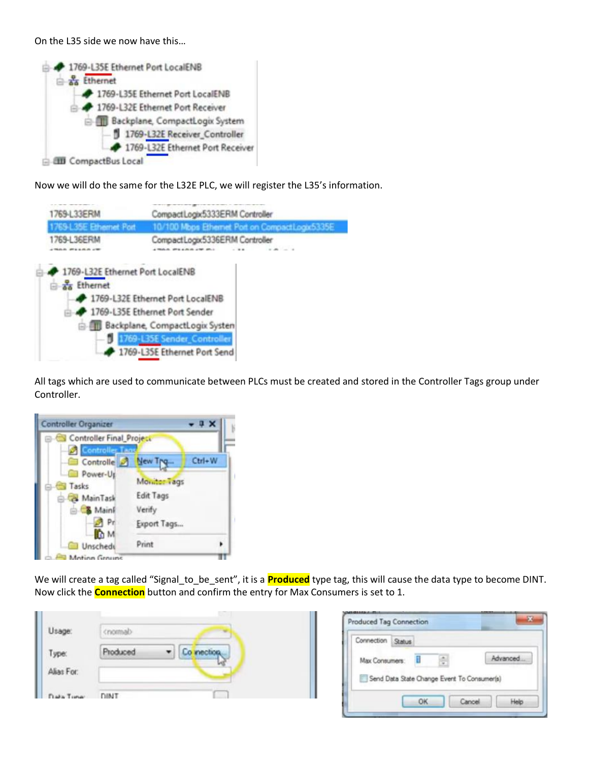On the L35 side we now have this…

| 1769-L35E Ethernet Port LocalENB |
|----------------------------------|
| as Ethernet                      |
| 1769-L35E Ethernet Port LocalENB |
| 1769-L32E Ethernet Port Receiver |
| Backplane, CompactLogix System   |
| 1769-L32E Receiver_Controller    |
| 1769-L32E Ethernet Port Receiver |
| <b>E dti</b> CompactBus Local    |

Now we will do the same for the L32E PLC, we will register the L35's information.



All tags which are used to communicate between PLCs must be created and stored in the Controller Tags group under Controller.



We will create a tag called "Signal\_to\_be\_sent", it is a **Produced** type tag, this will cause the data type to become DINT. Now click the **Connection** button and confirm the entry for Max Consumers is set to 1.

| Usag       |      |  |
|------------|------|--|
| Type:      |      |  |
| Alias For: |      |  |
| aka Tomar  | DINT |  |

| <b>Connection</b>                           | <b>Status</b> |  |          |
|---------------------------------------------|---------------|--|----------|
| Max Consumers:                              |               |  | Advanced |
| Send Data State Change Event To Consumer(s) |               |  |          |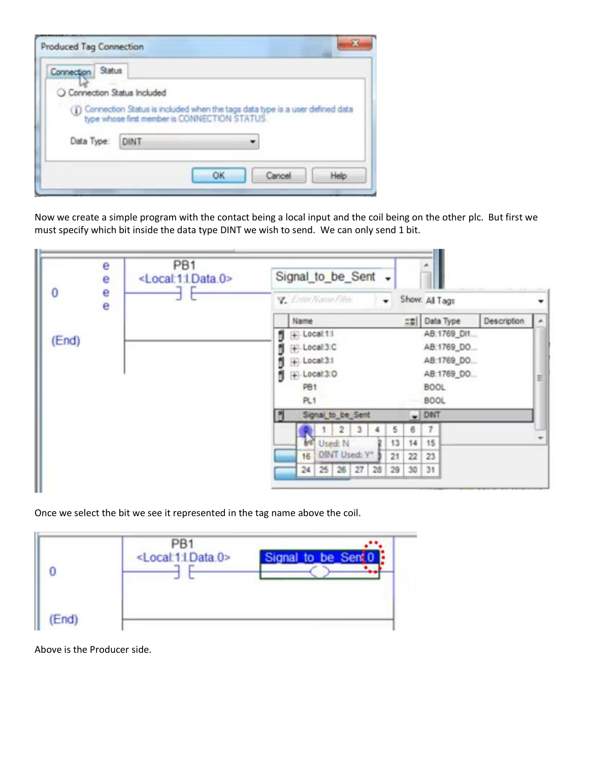| Status<br>Connection         |                                                                                                                                    |
|------------------------------|------------------------------------------------------------------------------------------------------------------------------------|
| O Connection Status Included |                                                                                                                                    |
|                              |                                                                                                                                    |
|                              |                                                                                                                                    |
|                              |                                                                                                                                    |
| Data Type: DINT              | (ii) Connection Status is included when the tags data type is a user defined data<br>type whose first member is CONNECTION STATUS. |

Now we create a simple program with the contact being a local input and the coil being on the other plc. But first we must specify which bit inside the data type DINT we wish to send. We can only send 1 bit.

|       | e<br>е        | PB <sub>1</sub><br><local:1:ldata.0></local:1:ldata.0> | Signal_to_be_Sent +              |                                                |
|-------|---------------|--------------------------------------------------------|----------------------------------|------------------------------------------------|
| 0     | $\frac{e}{e}$ |                                                        | Y. Enter Name Film<br>۰          | Show: All Tags                                 |
|       |               |                                                        | Name                             | <b>드뮴</b> Data Type<br>Description<br>$\Delta$ |
| (End) |               |                                                        | (#) Local 1:1                    | AB:1769_DI1                                    |
|       |               |                                                        | + Local 3:C                      | AB:1769_DO                                     |
|       |               |                                                        | $\left  \right $ . Local 3:1     | AB:1769_DO                                     |
|       |               |                                                        | E-Local 3:0                      | AB:1769_DO<br>$\equiv$                         |
|       |               |                                                        | PB <sub>1</sub>                  | <b>BOOL</b>                                    |
|       |               |                                                        | PL1                              | <b>BOOL</b>                                    |
|       |               |                                                        | Signal to be Sent                | $-$ DNT                                        |
|       |               |                                                        | $\overline{2}$<br>5<br>6<br>3    |                                                |
|       |               |                                                        | 13<br>14<br>Used: N<br>PAU       | 15                                             |
|       |               |                                                        | DINT Used: Y*<br>21<br>22<br>16  | 23                                             |
|       |               |                                                        | 25 26 27<br>30<br>28<br>29<br>24 | 31                                             |

Once we select the bit we see it represented in the tag name above the coil.

|       | PВ<br><local:1:i.data.0></local:1:i.data.0> | to be Se |
|-------|---------------------------------------------|----------|
| (End) |                                             |          |

Above is the Producer side.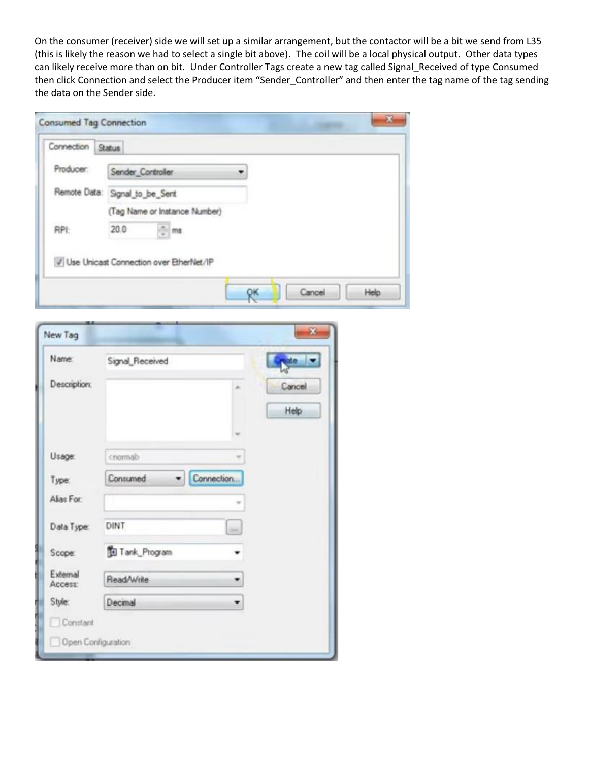On the consumer (receiver) side we will set up a similar arrangement, but the contactor will be a bit we send from L35 (this is likely the reason we had to select a single bit above). The coil will be a local physical output. Other data types can likely receive more than on bit. Under Controller Tags create a new tag called Signal\_Received of type Consumed then click Connection and select the Producer item "Sender\_Controller" and then enter the tag name of the tag sending the data on the Sender side.

| Connection | <b>Status</b>                  |                                         |  |  |
|------------|--------------------------------|-----------------------------------------|--|--|
| Producer:  | Sender Controller              |                                         |  |  |
|            | Remote Data: Signal_to_be_Sent |                                         |  |  |
|            |                                | (Tag Name or Instance Number)           |  |  |
| RPI:       | 20.0                           | $\frac{a}{a}$ ms                        |  |  |
|            |                                | Use Unicast Connection over EtherNet/IP |  |  |

| Name:               | Signal_Received |            | $\frac{1}{2}$ |
|---------------------|-----------------|------------|---------------|
| <b>Description:</b> |                 | a.         | Cancel        |
|                     |                 |            | Help          |
| Usage:              | cnomab          |            |               |
| Type:               | Consumed<br>۰   | Connection |               |
|                     |                 |            |               |
| Alias For:          |                 |            |               |
| Data Type:          | DINT            | <b>AAA</b> |               |
| Scope:              | Tank_Program    |            |               |
| External<br>Access: | Read/Write      |            |               |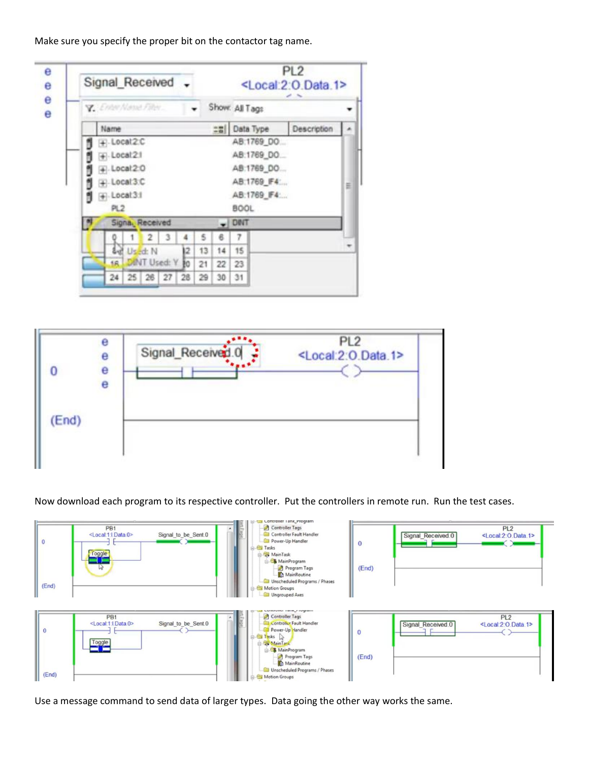Make sure you specify the proper bit on the contactor tag name.

| Signal Received . |                           |                 |                |                 |    |    |    |                |              | PL <sub>2</sub><br><local:2:o.data.1></local:2:o.data.1> |   |
|-------------------|---------------------------|-----------------|----------------|-----------------|----|----|----|----------------|--------------|----------------------------------------------------------|---|
|                   | Y. Enter Name Filter      |                 |                |                 |    |    |    | Show: All Tags |              |                                                          |   |
|                   | Name                      |                 |                |                 |    |    | 28 |                | Data Type    | Description                                              |   |
|                   | $+$ Local 2.C             |                 |                |                 |    |    |    |                | AB:1769_DO.  |                                                          |   |
|                   | $+$ -Local <sub>2.1</sub> |                 |                |                 |    |    |    |                | AB:1769_DO.  |                                                          |   |
|                   | $+$ . Locat $2.0$         |                 |                |                 |    |    |    |                | AB:1769_DO   |                                                          |   |
|                   | + Local 3.C               |                 |                |                 |    |    |    |                | AB:1769_F4:  |                                                          | 릐 |
|                   | $+$ Local 3:1             |                 |                |                 |    |    |    |                | AB:1769_IF4: |                                                          |   |
|                   | PL <sub>2</sub>           |                 |                |                 |    |    |    | <b>BOOL</b>    |              |                                                          |   |
|                   |                           | Signa, Received |                |                 |    |    |    | DINT           |              |                                                          |   |
|                   |                           |                 | $\mathfrak{D}$ |                 |    |    |    | 7              |              |                                                          |   |
|                   |                           |                 | Used: N        |                 | ł2 | 13 | 14 | 15             |              |                                                          |   |
|                   | fR.                       |                 |                | DINT Used: Y 10 |    | 21 | 22 | 23             |              |                                                          |   |
|                   | 24                        |                 |                | 25 26 27        | 28 | 29 | 30 | 31             |              |                                                          |   |



Now download each program to its respective controller. Put the controllers in remote run. Run the test cases.



Use a message command to send data of larger types. Data going the other way works the same.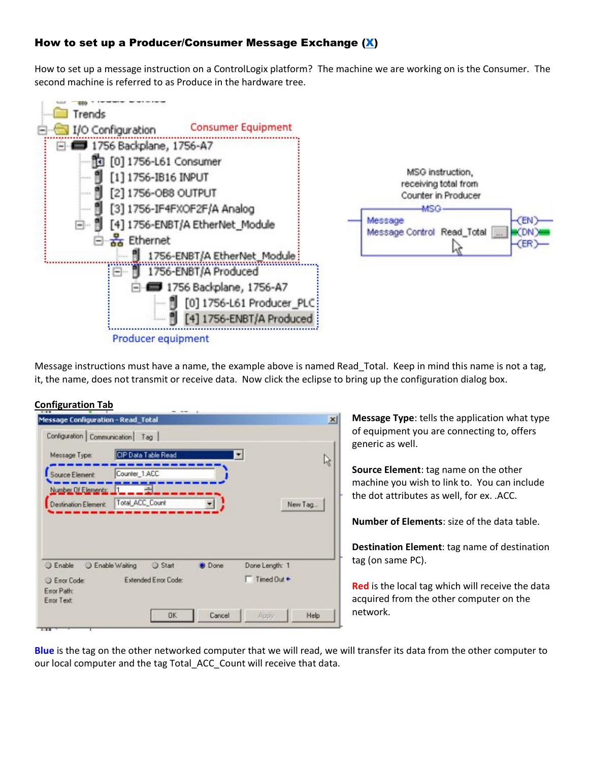# How to set up a Producer/Consumer Message Exchange [\(X\)](https://www.youtube.com/watch?v=LJLbWJCHf9A&list=PLnpv-GAqdcheSDtad0w88pLLCMVjRSVyA&index=7&t=0s)

How to set up a message instruction on a ControlLogix platform? The machine we are working on is the Consumer. The second machine is referred to as Produce in the hardware tree.



Message instructions must have a name, the example above is named Read Total. Keep in mind this name is not a tag, it, the name, does not transmit or receive data. Now click the eclipse to bring up the configuration dialog box.

### **Configuration Tab**

| Message Type:                | CIP Data Table Read |             | $\overline{\mathbf{z}}$ |         |
|------------------------------|---------------------|-------------|-------------------------|---------|
| Source Element:              | Counter_1.ACC       |             |                         | ફ્રિ    |
| Number Of Elements: 11       |                     |             |                         |         |
|                              |                     |             |                         | New Tag |
| Destination Element:         | Total_ACC_Count     |             |                         |         |
| C Enable<br>C Enable Waiting | Start               | <b>Done</b> | Done Length: 1          |         |

**Message Type**: tells the application what type of equipment you are connecting to, offers generic as well.

**Source Element**: tag name on the other machine you wish to link to. You can include the dot attributes as well, for ex. .ACC.

**Number of Elements**: size of the data table.

**Destination Element**: tag name of destination tag (on same PC).

**Red** is the local tag which will receive the data acquired from the other computer on the network.

**Blue** is the tag on the other networked computer that we will read, we will transfer its data from the other computer to our local computer and the tag Total\_ACC\_Count will receive that data.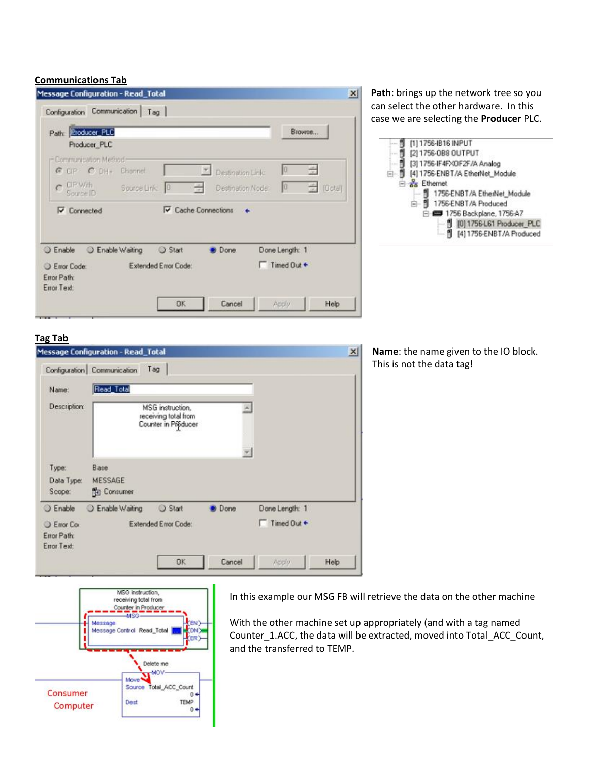## **Communications Tab**

| Path: <b>Rroducer PLC</b>                                  |                             |                   |                               | Browse               |
|------------------------------------------------------------|-----------------------------|-------------------|-------------------------------|----------------------|
| Producer_PLC                                               |                             |                   |                               |                      |
| - Communication Method<br>G CP C DH+ Channel               |                             | Destination Link: | 10                            | $\frac{1}{\sqrt{2}}$ |
| $c$ CIP With<br>Source Link 0<br>Source ID                 | $\equiv$                    | Destination Node  | <b>O</b>                      | ÷ [Octal]            |
| $\blacktriangleright$ Connected                            | Cache Connections           |                   |                               |                      |
|                                                            |                             |                   |                               |                      |
| C Enable Waiting                                           | Start                       | <b>Done</b>       |                               |                      |
|                                                            | <b>Extended Error Code:</b> |                   | Done Length: 1<br>Timed Out + |                      |
|                                                            |                             |                   |                               |                      |
| <b>Enable</b><br>Error Code:<br>Error Path:<br>Error Text: |                             |                   |                               |                      |

**Path**: brings up the network tree so you can select the other hardware. In this case we are selecting the **Producer** PLC.



### **Tag Tab**

|                                                | <b>Message Configuration - Read_Total</b> |                                                                 |             |                | $\vert x \vert$ |
|------------------------------------------------|-------------------------------------------|-----------------------------------------------------------------|-------------|----------------|-----------------|
|                                                | Configuration Communication               | Tag                                                             |             |                |                 |
| Name:                                          | Read_Total                                |                                                                 |             |                |                 |
| <b>Description:</b>                            |                                           | MSG instruction.<br>receiving total from<br>Counter in Producer |             |                |                 |
| Type:                                          | Base                                      |                                                                 |             |                |                 |
| Data Type:                                     | <b>MESSAGE</b>                            |                                                                 |             |                |                 |
| Scope:                                         | <b>To</b> Consumer                        |                                                                 |             |                |                 |
| <b>Enable</b>                                  | C Enable Waiting                          | Start                                                           | <b>Done</b> | Done Length: 1 |                 |
| <b>Error</b> Co.<br>Error Path:<br>Error Text: |                                           | <b>Extended Error Code:</b>                                     |             | Timed Out +    |                 |
|                                                |                                           | <b>OK</b>                                                       | Cancel      | Apply          | Help            |

**Name**: the name given to the IO block. This is not the data tag!



In this example our MSG FB will retrieve the data on the other machine

With the other machine set up appropriately (and with a tag named Counter\_1.ACC, the data will be extracted, moved into Total\_ACC\_Count, and the transferred to TEMP.